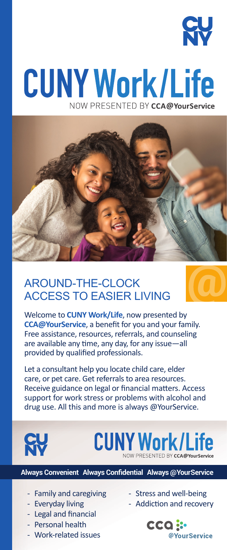

## **CUNY Work/Life** NOW PRESENTED BY CCA@YourService



## AROUND-THE-CLOCK ACCESS TO EASIER LIVING

Welcome to **CUNY Work/Life**, now presented by **CCA@YourService**, a benefit for you and your family. Free assistance, resources, referrals, and counseling are available any time, any day, for any issue—all provided by qualified professionals.

Let a consultant help you locate child care, elder care, or pet care. Get referrals to area resources. Receive guidance on legal or financial matters. Access support for work stress or problems with alcohol and drug use. All this and more is always @YourService.



## **CUNY Work/Life**

**Always Convenient Always Confidential Always @Your Service**

- Family and caregiving
- Everyday living
- Legal and financial
- Personal health
- Work-related issues
- Stress and well-being
- Addiction and recovery